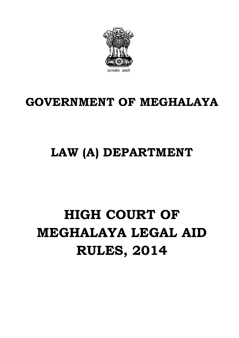

### **GOVERNMENT OF MEGHALAYA**

## **LAW (A) DEPARTMENT**

# **HIGH COURT OF MEGHALAYA LEGAL AID RULES, 2014**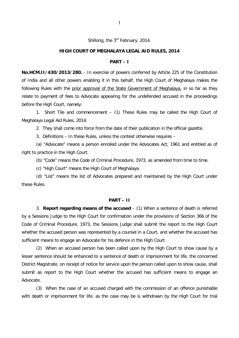Shillong, the 3<sup>rd</sup> February, 2014.

#### **HIGH COURT OF MEGHALAYA LEGAL AID RULES, 2014**

#### **PART – I**

**No.HCM.II/430/2013/280.** - In exercise of powers conferred by Article 225 of the Constitution of India and all other powers enabling it in this behalf, the High Court of Meghalaya makes the following Rules with the prior approval of the State Government of Meghalaya, in so far as they relate to payment of fees to Advocate appearing for the undefended accused in the proceedings before the High Court, namely:

1. Short Tile and commencement – (1) These Rules may be called the High Court of Meghalaya Legal Aid Rules, 2014.

2. They shall come into force from the date of their publication in the official gazette.

3. Definitions – In these Rules, unless the context otherwise requires –

(a) "Advocate" means a person enrolled under the Advocates Act, 1961 and entitled as of right to practice in the High Court.

(b) "Code" means the Code of Criminal Procedure, 1973, as amended from time to time.

(c) "High Court" means the High Court of Meghalaya.

(d) "List" means the list of Advocates prepared and maintained by the High Court under these Rules.

#### **PART – II**

3. **Report regarding means of the accused** – (1) When a sentence of death is referred by a Sessions Judge to the High Court for confirmation under the provisions of Section 366 of the Code of Criminal Procedure, 1973, the Sessions Judge shall submit the report to the High Court whether the accused person was represented by a counsel in a Court, and whether the accused has sufficient means to engage an Advocate for his defence in the High Court.

(2) When an accused person has been called upon by the High Court to show cause by a lesser sentence should be enhanced to a sentence of death or imprisonment for life, the concerned District Magistrate, on receipt of notice for service upon the person called upon to show cause, shall submit as report to the High Court whether the accused has sufficient means to engage an Advocate.

(3) When the case of an accused charged with the commission of an offence punishable with death or imprisonment for life, as the case may be is withdrawn by the High Court for trial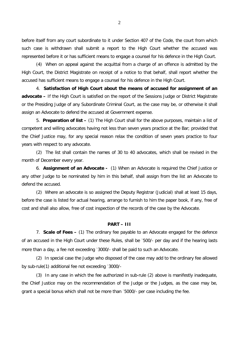before itself from any court subordinate to it under Section 407 of the Code, the court from which such case is withdrawn shall submit a report to the High Court whether the accused was represented before it or has sufficient means to engage a counsel for his defence in the High Court.

(4) When on appeal against the acquittal from a charge of an offence is admitted by the High Court, the District Magistrate on receipt of a notice to that behalf, shall report whether the accused has sufficient means to engage a counsel for his defence in the High Court.

4. **Satisfaction of High Court about the means of accused for assignment of an advocate –** If the High Court is satisfied on the report of the Sessions Judge or District Magistrate or the Presiding Judge of any Subordinate Criminal Court, as the case may be, or otherwise it shall assign an Advocate to defend the accused at Government expense.

5. **Preparation of list –** (1) The High Court shall for the above purposes, maintain a list of competent and willing advocates having not less than seven years practice at the Bar; provided that the Chief Justice may, for any special reason relax the condition of seven years practice to four years with respect to any advocate.

(2) The list shall contain the names of 30 to 40 advocates, which shall be revised in the month of December every year.

6. **Assignment of an Advocate -** (1) When an Advocate is required the Chief Justice or any other Judge to be nominated by him in this behalf, shall assign from the list an Advocate to defend the accused.

(2) Where an advocate is so assigned the Deputy Registrar (Judicial) shall at least 15 days, before the case is listed for actual hearing, arrange to furnish to him the paper book, if any, free of cost and shall also allow, free of cost inspection of the records of the case by the Advocate.

#### **PART – III**

7. **Scale of Fees –** (1) The ordinary fee payable to an Advocate engaged for the defence of an accused in the High Court under these Rules, shall be `500/- per day and if the hearing lasts more than a day, a fee not exceeding `3000/- shall be paid to such an Advocate.

(2) In special case the Judge who disposed of the case may add to the ordinary fee allowed by sub-rule(1) additional fee not exceeding `3000/-

(3) In any case in which the fee authorized in sub-rule (2) above is manifestly inadequate, the Chief Justice may on the recommendation of the Judge or the Judges, as the case may be, grant a special bonus which shall not be more than `5000/- per case including the fee.